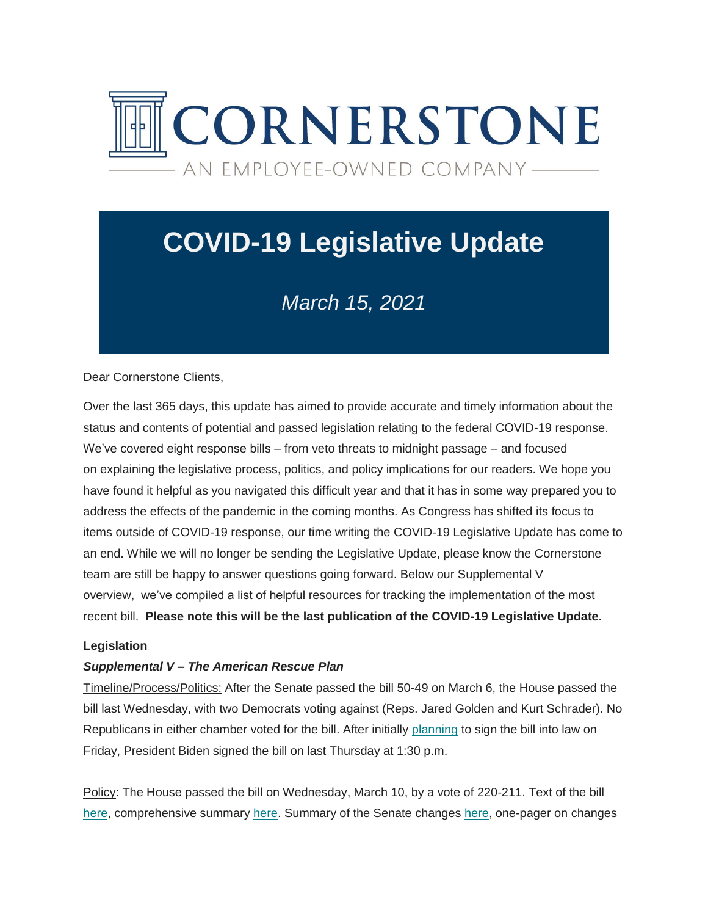

# **COVID-19 Legislative Update**

# *March 15, 2021*

Dear Cornerstone Clients,

Over the last 365 days, this update has aimed to provide accurate and timely information about the status and contents of potential and passed legislation relating to the federal COVID-19 response. We've covered eight response bills – from veto threats to midnight passage – and focused on explaining the legislative process, politics, and policy implications for our readers. We hope you have found it helpful as you navigated this difficult year and that it has in some way prepared you to address the effects of the pandemic in the coming months. As Congress has shifted its focus to items outside of COVID-19 response, our time writing the COVID-19 Legislative Update has come to an end. While we will no longer be sending the Legislative Update, please know the Cornerstone team are still be happy to answer questions going forward. Below our Supplemental V overview, we've compiled a list of helpful resources for tracking the implementation of the most recent bill. **Please note this will be the last publication of the COVID-19 Legislative Update.** 

#### **Legislation**

#### *Supplemental V – The American Rescue Plan*

Timeline/Process/Politics: After the Senate passed the bill 50-49 on March 6, the House passed the bill last Wednesday, with two Democrats voting against (Reps. Jared Golden and Kurt Schrader). No Republicans in either chamber voted for the bill. After initially [planning](https://cgagroup.us4.list-manage.com/track/click?u=2f96d6beb5306374d2ee2e12a&id=3fc3438ac2&e=d801520914) to sign the bill into law on Friday, President Biden signed the bill on last Thursday at 1:30 p.m.

Policy: The House passed the bill on Wednesday, March 10, by a vote of 220-211. Text of the bill [here,](https://cgagroup.us4.list-manage.com/track/click?u=2f96d6beb5306374d2ee2e12a&id=f76c76060e&e=d801520914) comprehensive summary [here.](https://cgagroup.us4.list-manage.com/track/click?u=2f96d6beb5306374d2ee2e12a&id=e8c5d3ed0f&e=d801520914) Summary of the Senate changes [here,](https://cgagroup.us4.list-manage.com/track/click?u=2f96d6beb5306374d2ee2e12a&id=670f6f25af&e=d801520914) one-pager on changes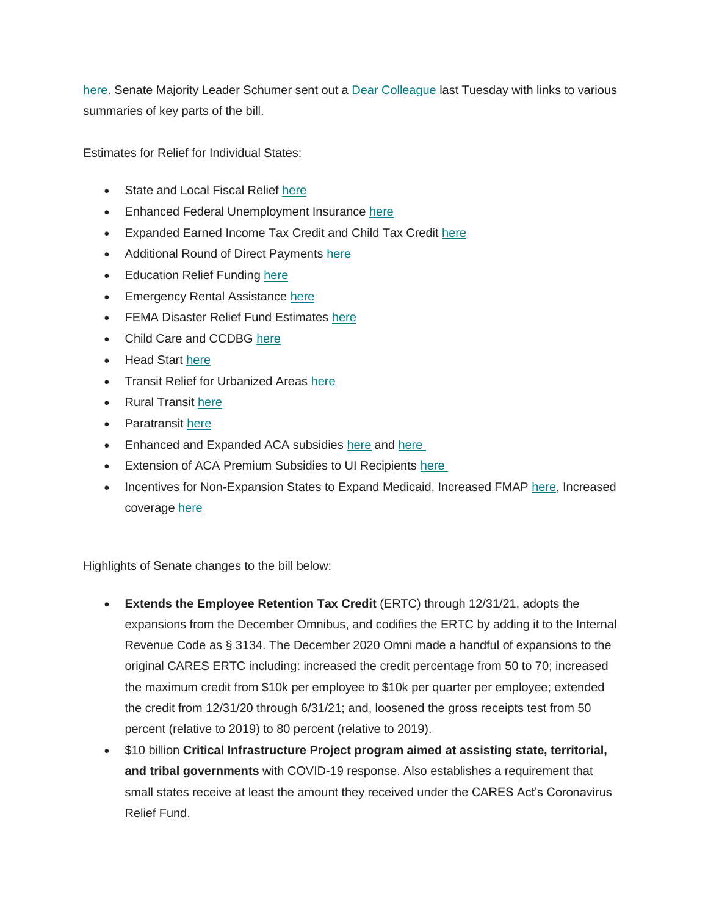[here.](https://cgagroup.us4.list-manage.com/track/click?u=2f96d6beb5306374d2ee2e12a&id=1d35c5a80f&e=d801520914) Senate Majority Leader Schumer sent out a [Dear Colleague](https://cgagroup.us4.list-manage.com/track/click?u=2f96d6beb5306374d2ee2e12a&id=dd95802ed9&e=d801520914) last Tuesday with links to various summaries of key parts of the bill.

Estimates for Relief for Individual States:

- State and Local Fiscal Relief [here](https://cgagroup.us4.list-manage.com/track/click?u=2f96d6beb5306374d2ee2e12a&id=a9bc6fa4a7&e=d801520914)
- Enhanced Federal Unemployment Insurance [here](https://cgagroup.us4.list-manage.com/track/click?u=2f96d6beb5306374d2ee2e12a&id=84096a30c3&e=d801520914)
- Expanded Earned Income Tax Credit and Child Tax Credit [here](https://cgagroup.us4.list-manage.com/track/click?u=2f96d6beb5306374d2ee2e12a&id=621f3ff031&e=d801520914)
- Additional Round of Direct Payments [here](https://cgagroup.us4.list-manage.com/track/click?u=2f96d6beb5306374d2ee2e12a&id=ce2baaeca0&e=d801520914)
- Education Relief Funding [here](https://cgagroup.us4.list-manage.com/track/click?u=2f96d6beb5306374d2ee2e12a&id=756e212c5e&e=d801520914)
- Emergency Rental Assistance [here](https://cgagroup.us4.list-manage.com/track/click?u=2f96d6beb5306374d2ee2e12a&id=cfdc231055&e=d801520914)
- FEMA Disaster Relief Fund Estimates [here](https://cgagroup.us4.list-manage.com/track/click?u=2f96d6beb5306374d2ee2e12a&id=6131cd1a75&e=d801520914)
- Child Care and CCDBG [here](https://cgagroup.us4.list-manage.com/track/click?u=2f96d6beb5306374d2ee2e12a&id=1b0d710bc6&e=d801520914)
- Head Start [here](https://cgagroup.us4.list-manage.com/track/click?u=2f96d6beb5306374d2ee2e12a&id=d96f87c982&e=d801520914)
- Transit Relief for Urbanized Areas [here](https://cgagroup.us4.list-manage.com/track/click?u=2f96d6beb5306374d2ee2e12a&id=ff69e02337&e=d801520914)
- Rural Transit [here](https://cgagroup.us4.list-manage.com/track/click?u=2f96d6beb5306374d2ee2e12a&id=89747cbb9c&e=d801520914)
- Paratransit [here](https://cgagroup.us4.list-manage.com/track/click?u=2f96d6beb5306374d2ee2e12a&id=f2f1b7bf55&e=d801520914)
- Enhanced and Expanded ACA subsidies [here](https://cgagroup.us4.list-manage.com/track/click?u=2f96d6beb5306374d2ee2e12a&id=2e2caa86fd&e=d801520914) and here
- Extension of ACA Premium Subsidies to UI Recipients [here](https://cgagroup.us4.list-manage.com/track/click?u=2f96d6beb5306374d2ee2e12a&id=aa6895ea24&e=d801520914)
- Incentives for Non-Expansion States to Expand Medicaid, Increased FMAP [here,](https://cgagroup.us4.list-manage.com/track/click?u=2f96d6beb5306374d2ee2e12a&id=135e894683&e=d801520914) Increased coverage [here](https://cgagroup.us4.list-manage.com/track/click?u=2f96d6beb5306374d2ee2e12a&id=2e60825762&e=d801520914)

Highlights of Senate changes to the bill below:

- **Extends the Employee Retention Tax Credit** (ERTC) through 12/31/21, adopts the expansions from the December Omnibus, and codifies the ERTC by adding it to the Internal Revenue Code as § 3134. The December 2020 Omni made a handful of expansions to the original CARES ERTC including: increased the credit percentage from 50 to 70; increased the maximum credit from \$10k per employee to \$10k per quarter per employee; extended the credit from 12/31/20 through 6/31/21; and, loosened the gross receipts test from 50 percent (relative to 2019) to 80 percent (relative to 2019).
- \$10 billion **Critical Infrastructure Project program aimed at assisting state, territorial, and tribal governments** with COVID-19 response. Also establishes a requirement that small states receive at least the amount they received under the CARES Act's Coronavirus Relief Fund.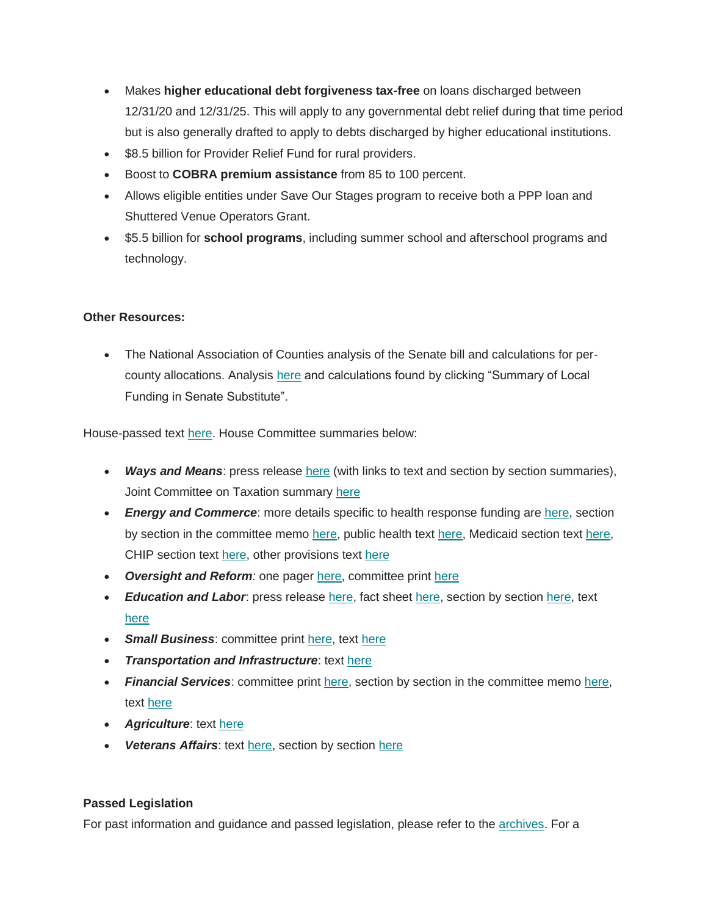- Makes **higher educational debt forgiveness tax-free** on loans discharged between 12/31/20 and 12/31/25. This will apply to any governmental debt relief during that time period but is also generally drafted to apply to debts discharged by higher educational institutions.
- \$8.5 billion for Provider Relief Fund for rural providers.
- Boost to **COBRA premium assistance** from 85 to 100 percent.
- Allows eligible entities under Save Our Stages program to receive both a PPP loan and Shuttered Venue Operators Grant.
- \$5.5 billion for **school programs**, including summer school and afterschool programs and technology.

# **Other Resources:**

 The National Association of Counties analysis of the Senate bill and calculations for percounty allocations. Analysis [here](https://cgagroup.us4.list-manage.com/track/click?u=2f96d6beb5306374d2ee2e12a&id=2f12b30332&e=d801520914) and calculations found by clicking "Summary of Local Funding in Senate Substitute".

House-passed text [here.](https://cgagroup.us4.list-manage.com/track/click?u=2f96d6beb5306374d2ee2e12a&id=c3964d5ed6&e=d801520914) House Committee summaries below:

- Ways and Means: press release **here (with links to text and section by section summaries)**, Joint Committee on Taxation summary [here](https://cgagroup.us4.list-manage.com/track/click?u=2f96d6beb5306374d2ee2e12a&id=c64c0f8448&e=d801520914)
- *Energy and Commerce*: more details specific to health response funding are [here,](https://cgagroup.us4.list-manage.com/track/click?u=2f96d6beb5306374d2ee2e12a&id=f7be28baa4&e=d801520914) section by section in the committee memo [here,](https://cgagroup.us4.list-manage.com/track/click?u=2f96d6beb5306374d2ee2e12a&id=b6c3cb386f&e=d801520914) public health text [here,](https://cgagroup.us4.list-manage.com/track/click?u=2f96d6beb5306374d2ee2e12a&id=8c7cc3c35b&e=d801520914) Medicaid section tex[t here,](https://cgagroup.us4.list-manage.com/track/click?u=2f96d6beb5306374d2ee2e12a&id=fdd339f36c&e=d801520914) CHIP section text [here,](https://cgagroup.us4.list-manage.com/track/click?u=2f96d6beb5306374d2ee2e12a&id=31270f295c&e=d801520914) other provisions text [here](https://cgagroup.us4.list-manage.com/track/click?u=2f96d6beb5306374d2ee2e12a&id=d567f7efe5&e=d801520914)
- *Oversight and Reform:* one pager [here,](https://cgagroup.us4.list-manage.com/track/click?u=2f96d6beb5306374d2ee2e12a&id=88bf128874&e=d801520914) committee print [here](https://cgagroup.us4.list-manage.com/track/click?u=2f96d6beb5306374d2ee2e12a&id=21220b9233&e=d801520914)
- *Education and Labor*: press release [here,](https://cgagroup.us4.list-manage.com/track/click?u=2f96d6beb5306374d2ee2e12a&id=398655ee2b&e=d801520914) fact sheet [here,](https://cgagroup.us4.list-manage.com/track/click?u=2f96d6beb5306374d2ee2e12a&id=0314514991&e=d801520914) section by sectio[n here,](https://cgagroup.us4.list-manage.com/track/click?u=2f96d6beb5306374d2ee2e12a&id=19571004e0&e=d801520914) text [here](https://cgagroup.us4.list-manage.com/track/click?u=2f96d6beb5306374d2ee2e12a&id=5367ef4553&e=d801520914)
- **Small Business:** committee print [here,](https://cgagroup.us4.list-manage.com/track/click?u=2f96d6beb5306374d2ee2e12a&id=f41becb826&e=d801520914) text [here](https://cgagroup.us4.list-manage.com/track/click?u=2f96d6beb5306374d2ee2e12a&id=4425e07f18&e=d801520914)
- *Transportation and Infrastructure*: text [here](https://cgagroup.us4.list-manage.com/track/click?u=2f96d6beb5306374d2ee2e12a&id=3d171e644a&e=d801520914)
- *Financial Services*: committee print [here,](https://cgagroup.us4.list-manage.com/track/click?u=2f96d6beb5306374d2ee2e12a&id=2a82be3163&e=d801520914) section by section in the committee memo [here,](https://cgagroup.us4.list-manage.com/track/click?u=2f96d6beb5306374d2ee2e12a&id=7cd74d7941&e=d801520914) text [here](https://cgagroup.us4.list-manage.com/track/click?u=2f96d6beb5306374d2ee2e12a&id=a691e4cffb&e=d801520914)
- *Agriculture*: text [here](https://cgagroup.us4.list-manage.com/track/click?u=2f96d6beb5306374d2ee2e12a&id=70281782bf&e=d801520914)
- *Veterans Affairs*: text [here,](https://cgagroup.us4.list-manage.com/track/click?u=2f96d6beb5306374d2ee2e12a&id=582a0c0c76&e=d801520914) section by section [here](https://cgagroup.us4.list-manage.com/track/click?u=2f96d6beb5306374d2ee2e12a&id=08cfdbc9c7&e=d801520914)

#### **Passed Legislation**

For past information and guidance and passed legislation, please refer to the [archives.](https://cgagroup.us4.list-manage.com/track/click?u=2f96d6beb5306374d2ee2e12a&id=248d7dca82&e=d801520914) For a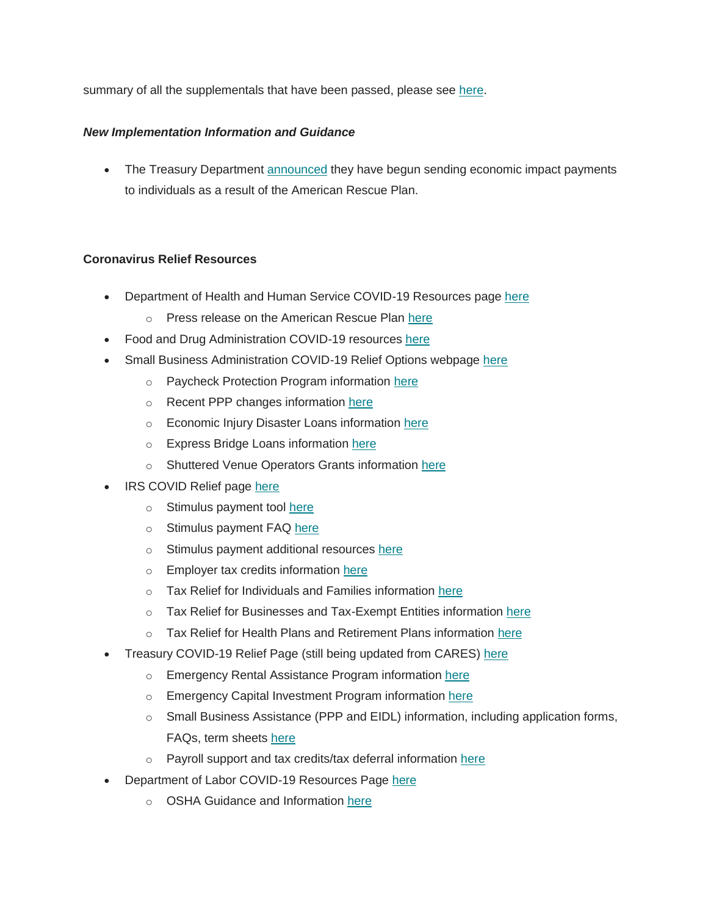summary of all the supplementals that have been passed, please see [here.](https://cgagroup.us4.list-manage.com/track/click?u=2f96d6beb5306374d2ee2e12a&id=0ac2d92177&e=d801520914)

# *New Implementation Information and Guidance*

• The Treasury Department [announced](https://cgagroup.us4.list-manage.com/track/click?u=2f96d6beb5306374d2ee2e12a&id=84373ca4b4&e=d801520914) they have begun sending economic impact payments to individuals as a result of the American Rescue Plan.

# **Coronavirus Relief Resources**

- Department of Health and Human Service COVID-19 Resources page [here](https://cgagroup.us4.list-manage.com/track/click?u=2f96d6beb5306374d2ee2e12a&id=3c82959315&e=d801520914)
	- o Press release on the American Rescue Plan [here](https://cgagroup.us4.list-manage.com/track/click?u=2f96d6beb5306374d2ee2e12a&id=dcefc6fd3a&e=d801520914)
- Food and Drug Administration COVID-19 resources [here](https://cgagroup.us4.list-manage.com/track/click?u=2f96d6beb5306374d2ee2e12a&id=1886d89d15&e=d801520914)
- Small Business Administration COVID-19 Relief Options webpage [here](https://cgagroup.us4.list-manage.com/track/click?u=2f96d6beb5306374d2ee2e12a&id=8299d0c1dd&e=d801520914)
	- o Paycheck Protection Program information [here](https://cgagroup.us4.list-manage.com/track/click?u=2f96d6beb5306374d2ee2e12a&id=cabde0a8d0&e=d801520914)
	- o Recent PPP changes information [here](https://cgagroup.us4.list-manage.com/track/click?u=2f96d6beb5306374d2ee2e12a&id=af65b1994e&e=d801520914)
	- o Economic Injury Disaster Loans information [here](https://cgagroup.us4.list-manage.com/track/click?u=2f96d6beb5306374d2ee2e12a&id=e0cf251420&e=d801520914)
	- o Express Bridge Loans information [here](https://cgagroup.us4.list-manage.com/track/click?u=2f96d6beb5306374d2ee2e12a&id=f9ff75ebbc&e=d801520914)
	- o Shuttered Venue Operators Grants information [here](https://cgagroup.us4.list-manage.com/track/click?u=2f96d6beb5306374d2ee2e12a&id=45be39cd9f&e=d801520914)
- IRS COVID Relief page [here](https://cgagroup.us4.list-manage.com/track/click?u=2f96d6beb5306374d2ee2e12a&id=7e279f4fa5&e=d801520914)
	- o Stimulus payment tool [here](https://cgagroup.us4.list-manage.com/track/click?u=2f96d6beb5306374d2ee2e12a&id=7d775a4448&e=d801520914)
	- o Stimulus payment FAQ [here](https://cgagroup.us4.list-manage.com/track/click?u=2f96d6beb5306374d2ee2e12a&id=819f1a8547&e=d801520914)
	- o Stimulus payment additional resources [here](https://cgagroup.us4.list-manage.com/track/click?u=2f96d6beb5306374d2ee2e12a&id=30711d3358&e=d801520914)
	- o Employer tax credits information [here](https://cgagroup.us4.list-manage.com/track/click?u=2f96d6beb5306374d2ee2e12a&id=dc8e259680&e=d801520914)
	- o Tax Relief for Individuals and Families information [here](https://cgagroup.us4.list-manage.com/track/click?u=2f96d6beb5306374d2ee2e12a&id=43a3c7f573&e=d801520914)
	- o Tax Relief for Businesses and Tax-Exempt Entities information [here](https://cgagroup.us4.list-manage.com/track/click?u=2f96d6beb5306374d2ee2e12a&id=da9ddb7396&e=d801520914)
	- o Tax Relief for Health Plans and Retirement Plans information [here](https://cgagroup.us4.list-manage.com/track/click?u=2f96d6beb5306374d2ee2e12a&id=313a26107e&e=d801520914)
- Treasury COVID-19 Relief Page (still being updated from CARES) [here](https://cgagroup.us4.list-manage.com/track/click?u=2f96d6beb5306374d2ee2e12a&id=940f41c98f&e=d801520914)
	- o Emergency Rental Assistance Program information [here](https://cgagroup.us4.list-manage.com/track/click?u=2f96d6beb5306374d2ee2e12a&id=8818d2a32b&e=d801520914)
	- o Emergency Capital Investment Program information [here](https://cgagroup.us4.list-manage.com/track/click?u=2f96d6beb5306374d2ee2e12a&id=477c736064&e=d801520914)
	- $\circ$  Small Business Assistance (PPP and EIDL) information, including application forms, FAQs, term sheets [here](https://cgagroup.us4.list-manage.com/track/click?u=2f96d6beb5306374d2ee2e12a&id=1f3017e597&e=d801520914)
	- o Payroll support and tax credits/tax deferral information [here](https://cgagroup.us4.list-manage.com/track/click?u=2f96d6beb5306374d2ee2e12a&id=d13992ed1d&e=d801520914)
- Department of Labor COVID-19 Resources Page [here](https://cgagroup.us4.list-manage.com/track/click?u=2f96d6beb5306374d2ee2e12a&id=2e7b1399a6&e=d801520914)
	- o OSHA Guidance and Information [here](https://cgagroup.us4.list-manage.com/track/click?u=2f96d6beb5306374d2ee2e12a&id=ea22fc767a&e=d801520914)